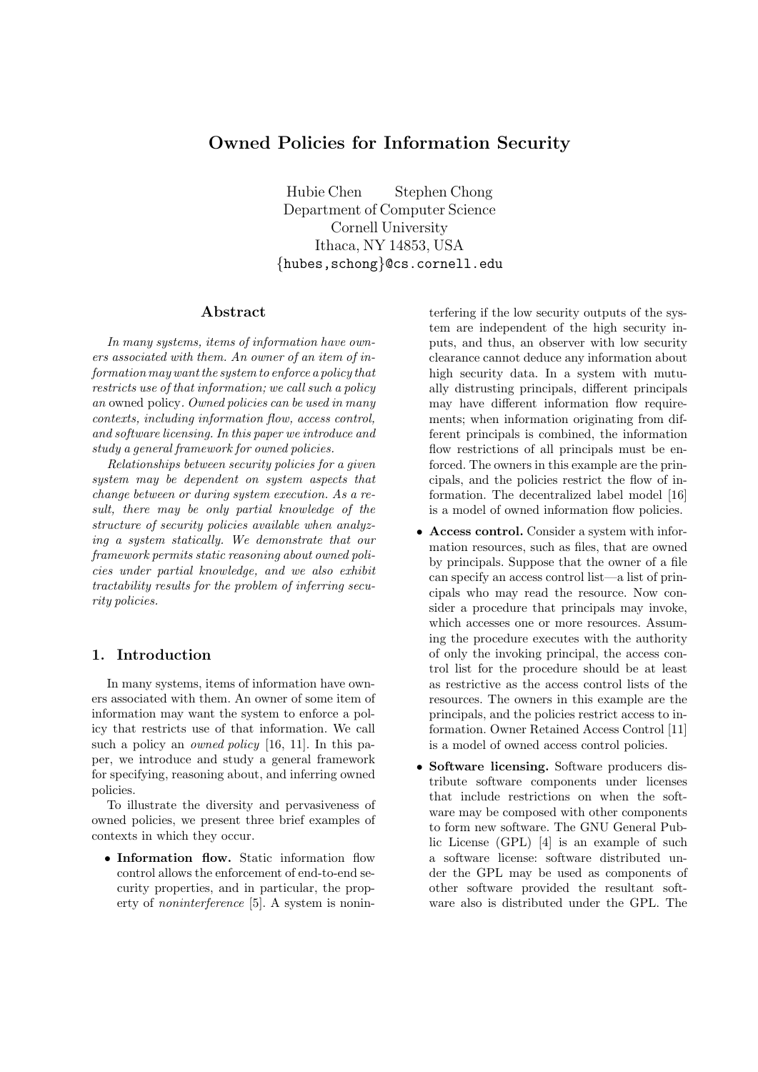# Owned Policies for Information Security

Hubie Chen Stephen Chong Department of Computer Science Cornell University Ithaca, NY 14853, USA {hubes,schong}@cs.cornell.edu

# Abstract

In many systems, items of information have owners associated with them. An owner of an item of information may want the system to enforce a policy that restricts use of that information; we call such a policy an owned policy. Owned policies can be used in many contexts, including information flow, access control, and software licensing. In this paper we introduce and study a general framework for owned policies.

Relationships between security policies for a given system may be dependent on system aspects that change between or during system execution. As a result, there may be only partial knowledge of the structure of security policies available when analyzing a system statically. We demonstrate that our framework permits static reasoning about owned policies under partial knowledge, and we also exhibit tractability results for the problem of inferring security policies.

# 1. Introduction

In many systems, items of information have owners associated with them. An owner of some item of information may want the system to enforce a policy that restricts use of that information. We call such a policy an *owned policy* [16, 11]. In this paper, we introduce and study a general framework for specifying, reasoning about, and inferring owned policies.

To illustrate the diversity and pervasiveness of owned policies, we present three brief examples of contexts in which they occur.

• Information flow. Static information flow control allows the enforcement of end-to-end security properties, and in particular, the property of noninterference [5]. A system is nonin-

terfering if the low security outputs of the system are independent of the high security inputs, and thus, an observer with low security clearance cannot deduce any information about high security data. In a system with mutually distrusting principals, different principals may have different information flow requirements; when information originating from different principals is combined, the information flow restrictions of all principals must be enforced. The owners in this example are the principals, and the policies restrict the flow of information. The decentralized label model [16] is a model of owned information flow policies.

- Access control. Consider a system with information resources, such as files, that are owned by principals. Suppose that the owner of a file can specify an access control list—a list of principals who may read the resource. Now consider a procedure that principals may invoke, which accesses one or more resources. Assuming the procedure executes with the authority of only the invoking principal, the access control list for the procedure should be at least as restrictive as the access control lists of the resources. The owners in this example are the principals, and the policies restrict access to information. Owner Retained Access Control [11] is a model of owned access control policies.
- Software licensing. Software producers distribute software components under licenses that include restrictions on when the software may be composed with other components to form new software. The GNU General Public License (GPL) [4] is an example of such a software license: software distributed under the GPL may be used as components of other software provided the resultant software also is distributed under the GPL. The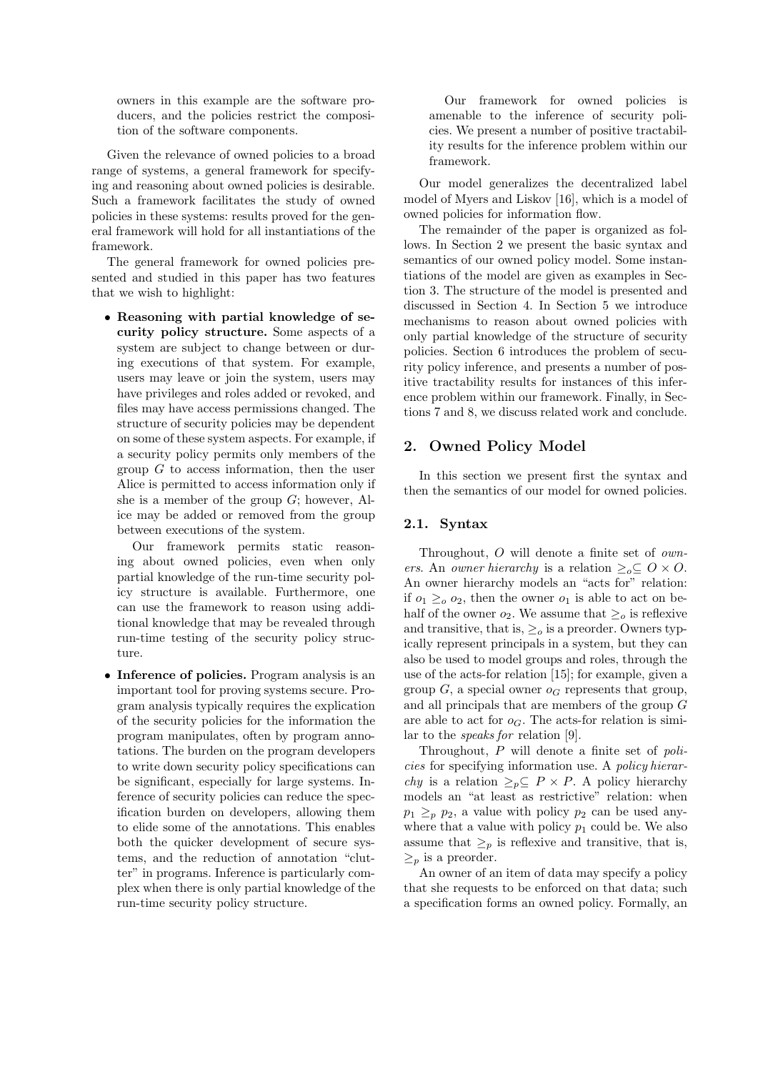owners in this example are the software producers, and the policies restrict the composition of the software components.

Given the relevance of owned policies to a broad range of systems, a general framework for specifying and reasoning about owned policies is desirable. Such a framework facilitates the study of owned policies in these systems: results proved for the general framework will hold for all instantiations of the framework.

The general framework for owned policies presented and studied in this paper has two features that we wish to highlight:

• Reasoning with partial knowledge of security policy structure. Some aspects of a system are subject to change between or during executions of that system. For example, users may leave or join the system, users may have privileges and roles added or revoked, and files may have access permissions changed. The structure of security policies may be dependent on some of these system aspects. For example, if a security policy permits only members of the group  $G$  to access information, then the user Alice is permitted to access information only if she is a member of the group  $G$ ; however, Alice may be added or removed from the group between executions of the system.

Our framework permits static reasoning about owned policies, even when only partial knowledge of the run-time security policy structure is available. Furthermore, one can use the framework to reason using additional knowledge that may be revealed through run-time testing of the security policy structure.

• Inference of policies. Program analysis is an important tool for proving systems secure. Program analysis typically requires the explication of the security policies for the information the program manipulates, often by program annotations. The burden on the program developers to write down security policy specifications can be significant, especially for large systems. Inference of security policies can reduce the specification burden on developers, allowing them to elide some of the annotations. This enables both the quicker development of secure systems, and the reduction of annotation "clutter" in programs. Inference is particularly complex when there is only partial knowledge of the run-time security policy structure.

Our framework for owned policies is amenable to the inference of security policies. We present a number of positive tractability results for the inference problem within our framework.

Our model generalizes the decentralized label model of Myers and Liskov [16], which is a model of owned policies for information flow.

The remainder of the paper is organized as follows. In Section 2 we present the basic syntax and semantics of our owned policy model. Some instantiations of the model are given as examples in Section 3. The structure of the model is presented and discussed in Section 4. In Section 5 we introduce mechanisms to reason about owned policies with only partial knowledge of the structure of security policies. Section 6 introduces the problem of security policy inference, and presents a number of positive tractability results for instances of this inference problem within our framework. Finally, in Sections 7 and 8, we discuss related work and conclude.

# 2. Owned Policy Model

In this section we present first the syntax and then the semantics of our model for owned policies.

# 2.1. Syntax

Throughout, O will denote a finite set of owners. An owner hierarchy is a relation  $\geq_o \subseteq O \times O$ . An owner hierarchy models an "acts for" relation: if  $o_1 \geq_o o_2$ , then the owner  $o_1$  is able to act on behalf of the owner  $o_2$ . We assume that  $\geq_o$  is reflexive and transitive, that is,  $\geq_o$  is a preorder. Owners typically represent principals in a system, but they can also be used to model groups and roles, through the use of the acts-for relation [15]; for example, given a group G, a special owner  $o<sub>G</sub>$  represents that group, and all principals that are members of the group G are able to act for  $o_G$ . The acts-for relation is similar to the speaks for relation [9].

Throughout, P will denote a finite set of policies for specifying information use. A policy hierar*chy* is a relation  $\geq_{p} \subseteq P \times P$ . A policy hierarchy models an "at least as restrictive" relation: when  $p_1 \geq_p p_2$ , a value with policy  $p_2$  can be used anywhere that a value with policy  $p_1$  could be. We also assume that  $\geq_p$  is reflexive and transitive, that is,  $\geq_p$  is a preorder.

An owner of an item of data may specify a policy that she requests to be enforced on that data; such a specification forms an owned policy. Formally, an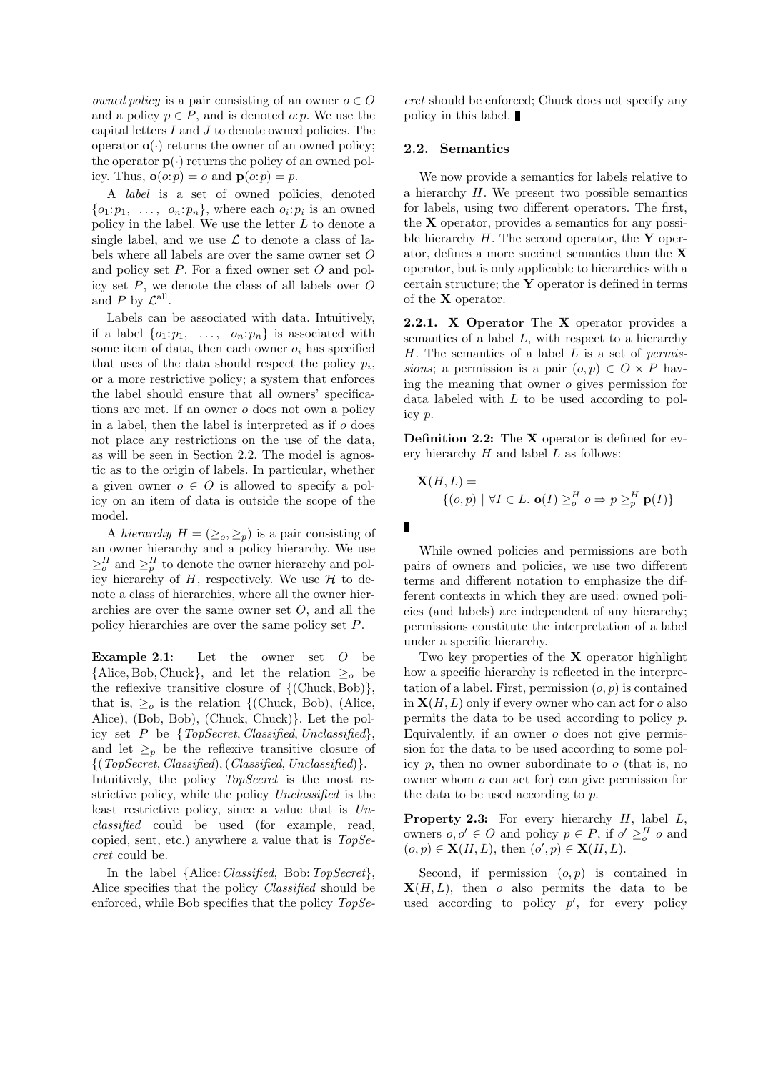*owned policy* is a pair consisting of an owner  $o \in O$ and a policy  $p \in P$ , and is denoted *o*: *p*. We use the capital letters  $I$  and  $J$  to denote owned policies. The operator  $o(\cdot)$  returns the owner of an owned policy; the operator  $p(.)$  returns the policy of an owned policy. Thus,  $\mathbf{o}(o:p) = o$  and  $\mathbf{p}(o:p) = p$ .

A label is a set of owned policies, denoted  $\{o_1: p_1, \ldots, o_n: p_n\}$ , where each  $o_i: p_i$  is an owned policy in the label. We use the letter L to denote a single label, and we use  $\mathcal L$  to denote a class of labels where all labels are over the same owner set O and policy set  $P$ . For a fixed owner set  $O$  and policy set  $P$ , we denote the class of all labels over  $O$ and  $P$  by  $\mathcal{L}^{\text{all}}$ .

Labels can be associated with data. Intuitively, if a label  $\{o_1:p_1, \ldots, o_n:p_n\}$  is associated with some item of data, then each owner  $o_i$  has specified that uses of the data should respect the policy  $p_i$ , or a more restrictive policy; a system that enforces the label should ensure that all owners' specifications are met. If an owner o does not own a policy in a label, then the label is interpreted as if o does not place any restrictions on the use of the data, as will be seen in Section 2.2. The model is agnostic as to the origin of labels. In particular, whether a given owner  $o \in O$  is allowed to specify a policy on an item of data is outside the scope of the model.

A hierarchy  $H = (\geq_o, \geq_p)$  is a pair consisting of an owner hierarchy and a policy hierarchy. We use  $\geq_o^H$  and  $\geq_p^H$  to denote the owner hierarchy and policy hierarchy of H, respectively. We use  $\mathcal H$  to denote a class of hierarchies, where all the owner hierarchies are over the same owner set O, and all the policy hierarchies are over the same policy set P.

**Example 2.1:** Let the owner set  $O$  be  ${Alice, Bob, Chuck}, and let the relation  $\geq_o$  be$ the reflexive transitive closure of  $\{(\text{Chuck}, \text{Bob})\},\$ that is,  $\geq_o$  is the relation {(Chuck, Bob), (Alice, Alice), (Bob, Bob), (Chuck, Chuck)}. Let the policy set  $P$  be  $\{TopSecret, Classified, Unclassified\},\$ and let  $\geq_p$  be the reflexive transitive closure of  ${(TopSecret, Classified), (Classified, Unclassified)}.$ Intuitively, the policy TopSecret is the most restrictive policy, while the policy Unclassified is the least restrictive policy, since a value that is  $Un$ classified could be used (for example, read, copied, sent, etc.) anywhere a value that is  $TopSe$ cret could be.

In the label {Alice: *Classified*, Bob: TopSecret}, Alice specifies that the policy Classified should be enforced, while Bob specifies that the policy  $TopSe-$  cret should be enforced; Chuck does not specify any policy in this label.

## 2.2. Semantics

We now provide a semantics for labels relative to a hierarchy  $H$ . We present two possible semantics for labels, using two different operators. The first, the  $X$  operator, provides a semantics for any possible hierarchy  $H$ . The second operator, the Y operator, defines a more succinct semantics than the X operator, but is only applicable to hierarchies with a certain structure; the Y operator is defined in terms of the X operator.

2.2.1. X Operator The X operator provides a semantics of a label  $L$ , with respect to a hierarchy  $H$ . The semantics of a label  $L$  is a set of permissions; a permission is a pair  $(o, p) \in O \times P$  having the meaning that owner o gives permission for data labeled with L to be used according to policy p.

Definition 2.2: The X operator is defined for every hierarchy  $H$  and label  $L$  as follows:

$$
\mathbf{X}(H, L) = \{ (o, p) \mid \forall I \in L. \mathbf{o}(I) \geq_o^H o \Rightarrow p \geq_p^H \mathbf{p}(I) \}
$$

ī

While owned policies and permissions are both pairs of owners and policies, we use two different terms and different notation to emphasize the different contexts in which they are used: owned policies (and labels) are independent of any hierarchy; permissions constitute the interpretation of a label under a specific hierarchy.

Two key properties of the  $X$  operator highlight how a specific hierarchy is reflected in the interpretation of a label. First, permission  $(o, p)$  is contained in  $X(H, L)$  only if every owner who can act for o also permits the data to be used according to policy p. Equivalently, if an owner  $o$  does not give permission for the data to be used according to some policy  $p$ , then no owner subordinate to  $q$  (that is, no owner whom o can act for) can give permission for the data to be used according to p.

**Property 2.3:** For every hierarchy  $H$ , label  $L$ , owners  $o, o' \in O$  and policy  $p \in P$ , if  $o' \geq_o^H o$  and  $(o, p) \in \mathbf{X}(H, L)$ , then  $(o', p) \in \mathbf{X}(H, L)$ .

Second, if permission  $(o, p)$  is contained in  $\mathbf{X}(H, L)$ , then o also permits the data to be used according to policy  $p'$ , for every policy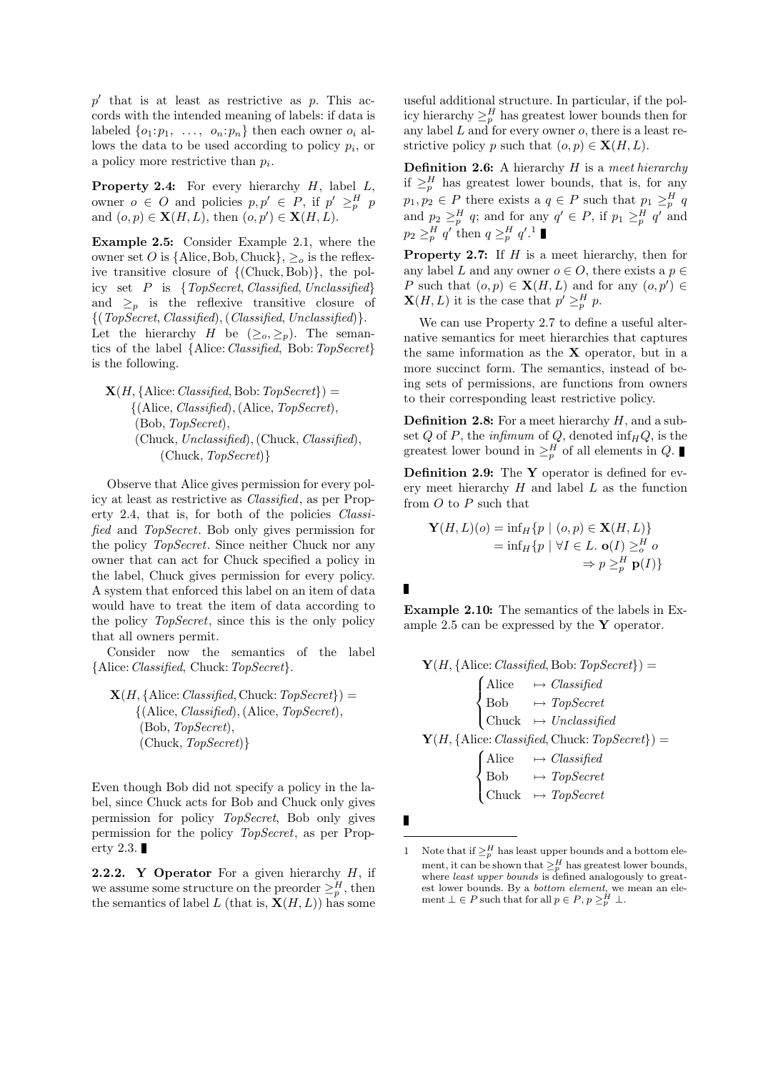$p'$  that is at least as restrictive as  $p$ . This accords with the intended meaning of labels: if data is labeled  $\{o_1: p_1, \ldots, o_n: p_n\}$  then each owner  $o_i$  allows the data to be used according to policy  $p_i$ , or a policy more restrictive than  $p_i$ .

**Property 2.4:** For every hierarchy  $H$ , label  $L$ , owner  $o \in O$  and policies  $p, p' \in P$ , if  $p' \geq^H_p p$ and  $(o, p) \in \mathbf{X}(H, L)$ , then  $(o, p') \in \mathbf{X}(H, L)$ .

Example 2.5: Consider Example 2.1, where the owner set O is {Alice, Bob, Chuck},  $\geq_o$  is the reflexive transitive closure of {(Chuck, Bob)}, the policy set  $P$  is {TopSecret, Classified, Unclassified} and  $\geq_p$  is the reflexive transitive closure of  ${(TopSecret, Classical), (Classified, Unclassified)}.$ Let the hierarchy H be  $(\geq_o, \geq_p)$ . The semantics of the label {Alice: Classified, Bob: TopSecret} is the following.

 $\mathbf{X}(H, \{\text{Alice}: \text{Classified}, \text{Bob}: \text{TopSecret}\}) =$  ${(Alice, Classified), (Alice, TopSecret),}$ (Bob, TopSecret), (Chuck, Unclassified),(Chuck, Classified), (Chuck, TopSecret)}

Observe that Alice gives permission for every policy at least as restrictive as Classified, as per Property 2.4, that is, for both of the policies Classified and TopSecret. Bob only gives permission for the policy TopSecret. Since neither Chuck nor any owner that can act for Chuck specified a policy in the label, Chuck gives permission for every policy. A system that enforced this label on an item of data would have to treat the item of data according to the policy TopSecret, since this is the only policy that all owners permit.

Consider now the semantics of the label {Alice:Classified, Chuck:TopSecret}.

 $\mathbf{X}(H, \{\text{Alice: } Classified, \text{Chuck: } TopSecret\}) =$  $\{(\text{Alice}, \text{Classified}), (\text{Alice}, \text{TopSecret}),\}$ (Bob, TopSecret), (Chuck, TopSecret)}

Even though Bob did not specify a policy in the label, since Chuck acts for Bob and Chuck only gives permission for policy TopSecret, Bob only gives permission for the policy TopSecret, as per Property 2.3.

**2.2.2.** Y Operator For a given hierarchy  $H$ , if we assume some structure on the preorder  $\geq_p^H$ , then the semantics of label L (that is,  $\mathbf{X}(H, L)$ ) has some

useful additional structure. In particular, if the policy hierarchy  $\geq_p^H$  has greatest lower bounds then for any label  $L$  and for every owner  $o$ , there is a least restrictive policy p such that  $(o, p) \in \mathbf{X}(H, L)$ .

**Definition 2.6:** A hierarchy  $H$  is a meet hierarchy if  $\geq_p^H$  has greatest lower bounds, that is, for any  $p_1, p_2 \in P$  there exists a  $q \in P$  such that  $p_1 \geq^H_p q$ and  $p_2 \geq^H_p q$ ; and for any  $q' \in P$ , if  $p_1 \geq^H_p q'$  and  $p_2 \geq^H_p q'$  then  $q \geq^H_p q'$ .<sup>1</sup>

**Property 2.7:** If  $H$  is a meet hierarchy, then for any label L and any owner  $o \in O$ , there exists a  $p \in$ P such that  $(o, p) \in \mathbf{X}(H, L)$  and for any  $(o, p') \in$  $\mathbf{X}(H,L)$  it is the case that  $p' \geq^H_p p$ .

We can use Property 2.7 to define a useful alternative semantics for meet hierarchies that captures the same information as the  $X$  operator, but in a more succinct form. The semantics, instead of being sets of permissions, are functions from owners to their corresponding least restrictive policy.

**Definition 2.8:** For a meet hierarchy  $H$ , and a subset Q of P, the infimum of Q, denoted  $\inf_H Q$ , is the greatest lower bound in  $\geq_p^H$  of all elements in Q.

Definition 2.9: The Y operator is defined for every meet hierarchy  $H$  and label  $L$  as the function from  $O$  to  $P$  such that

$$
\mathbf{Y}(H, L)(o) = \inf_H \{ p \mid (o, p) \in \mathbf{X}(H, L) \}
$$
  
=  $\inf_H \{ p \mid \forall I \in L. \mathbf{o}(I) \geq_o^H o$   
 $\Rightarrow p \geq_p^H \mathbf{p}(I) \}$ 

Example 2.10: The semantics of the labels in Example 2.5 can be expressed by the  $\bf{Y}$  operator.

 $\mathbf{Y}(H, \{\text{Alice}: \text{Classified}, \text{Bob}: \text{TopSecret}\}) =$  $\sqrt{ }$  $\int$  $\mathcal{L}$ Alice  $\rightarrow Classified$  $Bob \rightarrow TopSecret$ Chuck  $\mapsto$  Unclassified  $\mathbf{Y}(H, \{\text{Alice}: \text{Classified}, \text{Chuck}: \text{TopSecret}\}) =$  $\sqrt{ }$  $\int$  $\mathcal{L}$ Alice  $\rightarrow Classified$  $Bob \rightarrow TopSecret$ Chuck  $\mapsto TopSecret$ 

<sup>1</sup> Note that if  $\geq_p^H$  has least upper bounds and a bottom element, it can be shown that  $\geq^H_p$  has greatest lower bounds, where *least upper bounds* is defined analogously to greatest lower bounds. By a *bottom element*, we mean an element  $\bot \in P$  such that for all  $p \in P$ ,  $p \geq_p^H \bot$ .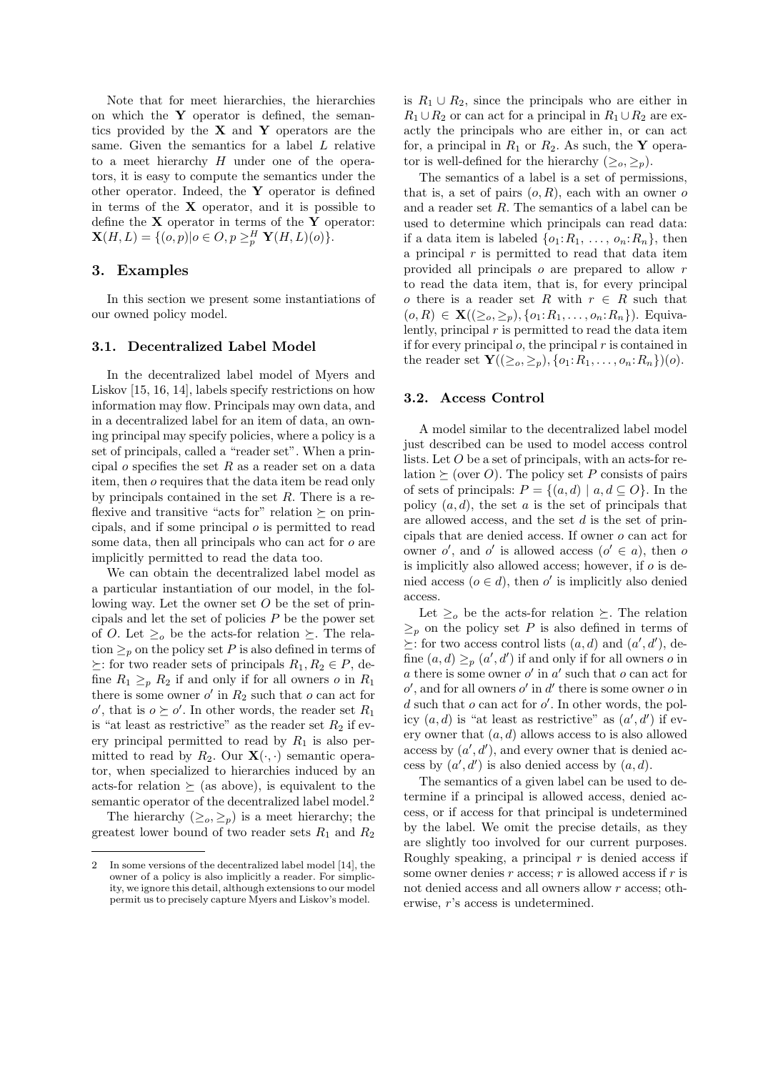Note that for meet hierarchies, the hierarchies on which the  $Y$  operator is defined, the semantics provided by the  $X$  and  $Y$  operators are the same. Given the semantics for a label L relative to a meet hierarchy  $H$  under one of the operators, it is easy to compute the semantics under the other operator. Indeed, the Y operator is defined in terms of the  $X$  operator, and it is possible to define the  $X$  operator in terms of the  $Y$  operator:  $\mathbf{X}(H,L) = \{ (o,p) | o \in O, p \geq_p^H \mathbf{Y}(H,L)(o) \}.$ 

# 3. Examples

In this section we present some instantiations of our owned policy model.

# 3.1. Decentralized Label Model

In the decentralized label model of Myers and Liskov [15, 16, 14], labels specify restrictions on how information may flow. Principals may own data, and in a decentralized label for an item of data, an owning principal may specify policies, where a policy is a set of principals, called a "reader set". When a principal  $o$  specifies the set  $R$  as a reader set on a data item, then o requires that the data item be read only by principals contained in the set R. There is a reflexive and transitive "acts for" relation  $\succeq$  on principals, and if some principal o is permitted to read some data, then all principals who can act for o are implicitly permitted to read the data too.

We can obtain the decentralized label model as a particular instantiation of our model, in the following way. Let the owner set  $O$  be the set of principals and let the set of policies  $P$  be the power set of O. Let  $\geq_o$  be the acts-for relation  $\succeq$ . The relation  $\geq_p$  on the policy set P is also defined in terms of  $\succeq$ : for two reader sets of principals  $R_1, R_2 \in P$ , define  $R_1 \geq p R_2$  if and only if for all owners o in  $R_1$ there is some owner  $o'$  in  $R_2$  such that  $o$  can act for  $o'$ , that is  $o \succeq o'$ . In other words, the reader set  $R_1$ is "at least as restrictive" as the reader set  $R_2$  if every principal permitted to read by  $R_1$  is also permitted to read by  $R_2$ . Our  $\mathbf{X}(\cdot, \cdot)$  semantic operator, when specialized to hierarchies induced by an acts-for relation  $\succeq$  (as above), is equivalent to the semantic operator of the decentralized label model.<sup>2</sup>

The hierarchy  $(\geq_o, \geq_p)$  is a meet hierarchy; the greatest lower bound of two reader sets  $R_1$  and  $R_2$ 

is  $R_1 \cup R_2$ , since the principals who are either in  $R_1 \cup R_2$  or can act for a principal in  $R_1 \cup R_2$  are exactly the principals who are either in, or can act for, a principal in  $R_1$  or  $R_2$ . As such, the Y operator is well-defined for the hierarchy  $(\geq_o, \geq_p)$ .

The semantics of a label is a set of permissions, that is, a set of pairs  $(o, R)$ , each with an owner o and a reader set R. The semantics of a label can be used to determine which principals can read data: if a data item is labeled  $\{o_1:R_1,\ldots,o_n:R_n\}$ , then a principal  $r$  is permitted to read that data item provided all principals o are prepared to allow r to read the data item, that is, for every principal o there is a reader set R with  $r \in R$  such that  $(o, R) \in \mathbf{X}((\geq_o, \geq_p), \{o_1: R_1, \ldots, o_n: R_n\})$ . Equivalently, principal  $r$  is permitted to read the data item if for every principal  $o$ , the principal  $r$  is contained in the reader set  ${\bf Y}((\geq_o,\geq_p), \{o_1:R_1,\ldots,o_n:R_n\})(o).$ 

# 3.2. Access Control

A model similar to the decentralized label model just described can be used to model access control lists. Let O be a set of principals, with an acts-for relation  $\succeq$  (over O). The policy set P consists of pairs of sets of principals:  $P = \{(a, d) \mid a, d \subseteq O\}$ . In the policy  $(a, d)$ , the set a is the set of principals that are allowed access, and the set  $d$  is the set of principals that are denied access. If owner o can act for owner  $o'$ , and  $o'$  is allowed access  $(o' \in a)$ , then o is implicitly also allowed access; however, if  $\sigma$  is denied access  $(o \in d)$ , then o' is implicitly also denied access.

Let  $\geq_o$  be the acts-for relation  $\succeq$ . The relation  $\geq_p$  on the policy set P is also defined in terms of  $\succeq$ : for two access control lists  $(a, d)$  and  $(a', d')$ , define  $(a, d) \geq_p (a', d')$  if and only if for all owners o in  $a$  there is some owner  $o'$  in  $a'$  such that  $o$  can act for  $o'$ , and for all owners  $o'$  in  $d'$  there is some owner  $o$  in  $d$  such that  $o$  can act for  $o'$ . In other words, the policy  $(a, d)$  is "at least as restrictive" as  $(a', d')$  if every owner that  $(a, d)$  allows access to is also allowed access by  $(a', d')$ , and every owner that is denied access by  $(a', d')$  is also denied access by  $(a, d)$ .

The semantics of a given label can be used to determine if a principal is allowed access, denied access, or if access for that principal is undetermined by the label. We omit the precise details, as they are slightly too involved for our current purposes. Roughly speaking, a principal  $r$  is denied access if some owner denies  $r$  access;  $r$  is allowed access if  $r$  is not denied access and all owners allow r access; otherwise, r's access is undetermined.

<sup>2</sup> In some versions of the decentralized label model [14], the owner of a policy is also implicitly a reader. For simplicity, we ignore this detail, although extensions to our model permit us to precisely capture Myers and Liskov's model.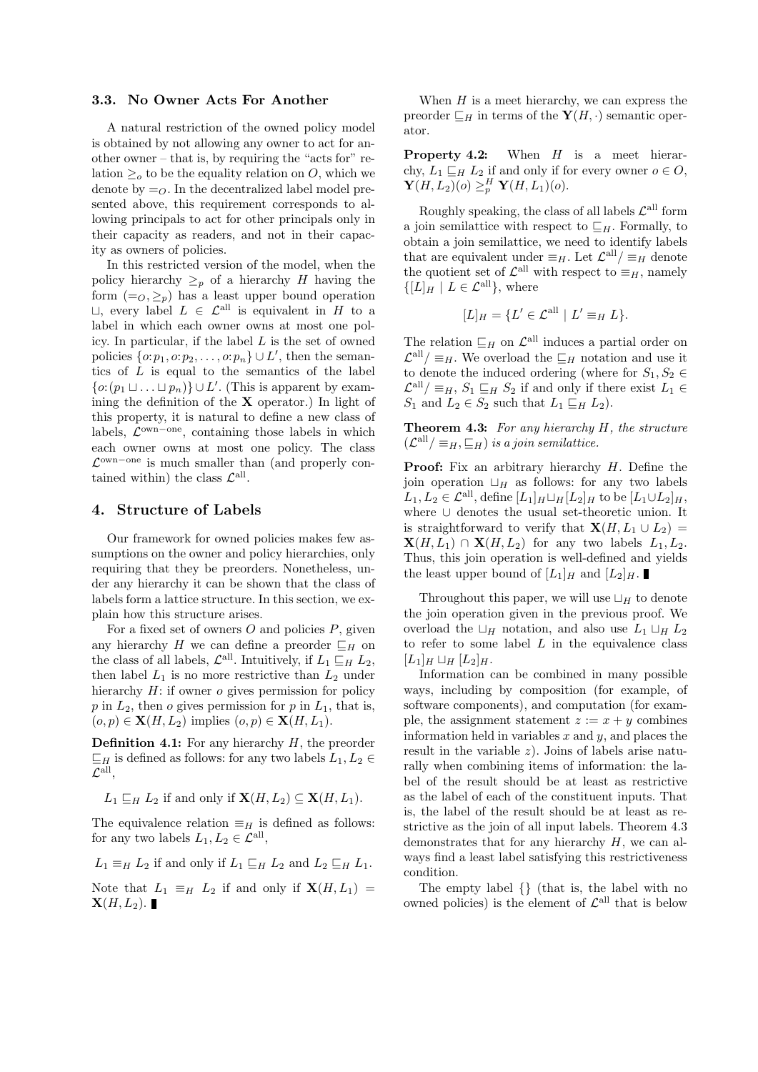### 3.3. No Owner Acts For Another

A natural restriction of the owned policy model is obtained by not allowing any owner to act for another owner – that is, by requiring the "acts for" relation  $\geq_o$  to be the equality relation on O, which we denote by  $=_O$ . In the decentralized label model presented above, this requirement corresponds to allowing principals to act for other principals only in their capacity as readers, and not in their capacity as owners of policies.

In this restricted version of the model, when the policy hierarchy  $\geq_p$  of a hierarchy H having the form  $(=_O, \geq_p)$  has a least upper bound operation  $\Box$ , every label  $L \in \mathcal{L}^{\text{all}}$  is equivalent in H to a label in which each owner owns at most one policy. In particular, if the label  $L$  is the set of owned policies  $\{o: p_1, o: p_2, \ldots, o: p_n\} \cup L'$ , then the semantics of  $L$  is equal to the semantics of the label  $\{o: (p_1 \sqcup \ldots \sqcup p_n)\} \cup L'$ . (This is apparent by examining the definition of the  $X$  operator.) In light of this property, it is natural to define a new class of labels,  $\mathcal{L}^{\text{own-one}}$ , containing those labels in which each owner owns at most one policy. The class L own−one is much smaller than (and properly contained within) the class  $\mathcal{L}^{\text{all}}$ .

# 4. Structure of Labels

Our framework for owned policies makes few assumptions on the owner and policy hierarchies, only requiring that they be preorders. Nonetheless, under any hierarchy it can be shown that the class of labels form a lattice structure. In this section, we explain how this structure arises.

For a fixed set of owners  $O$  and policies  $P$ , given any hierarchy H we can define a preorder  $\sqsubseteq_H$  on the class of all labels,  $\mathcal{L}^{\text{all}}$ . Intuitively, if  $L_1 \sqsubseteq_H L_2$ , then label  $L_1$  is no more restrictive than  $L_2$  under hierarchy  $H$ : if owner  $o$  gives permission for policy  $p$  in  $L_2$ , then  $o$  gives permission for  $p$  in  $L_1$ , that is,  $(o, p) \in \mathbf{X}(H, L_2)$  implies  $(o, p) \in \mathbf{X}(H, L_1)$ .

**Definition 4.1:** For any hierarchy  $H$ , the preorder  $\sqsubseteq_H$  is defined as follows: for any two labels  $L_1, L_2 \in$  $\mathcal{L}^{\text{all}},$ 

$$
L_1 \sqsubseteq_H L_2
$$
 if and only if  $\mathbf{X}(H, L_2) \subseteq \mathbf{X}(H, L_1)$ .

The equivalence relation  $\equiv_H$  is defined as follows: for any two labels  $L_1, L_2 \in \mathcal{L}^{\text{all}},$ 

 $L_1 \equiv_H L_2$  if and only if  $L_1 \sqsubseteq_H L_2$  and  $L_2 \sqsubseteq_H L_1$ .

Note that  $L_1 \equiv_H L_2$  if and only if  $\mathbf{X}(H, L_1) =$  $\mathbf{X}(H, L_2)$ .

When  $H$  is a meet hierarchy, we can express the preorder  $\sqsubseteq_H$  in terms of the  $\mathbf{Y}(H, \cdot)$  semantic operator.

**Property 4.2:** When  $H$  is a meet hierarchy,  $L_1 \sqsubseteq_H L_2$  if and only if for every owner  $o \in O$ ,  $\mathbf{Y}(H, L_2)(o) \geq^H_p \mathbf{Y}(H, L_1)(o).$ 

Roughly speaking, the class of all labels  $\mathcal{L}^{\text{all}}$  form a join semilattice with respect to  $\sqsubseteq_H$ . Formally, to obtain a join semilattice, we need to identify labels that are equivalent under  $\equiv_H$ . Let  $\mathcal{L}^{\text{all}}/\equiv_H$  denote the quotient set of  $\mathcal{L}^{\text{all}}$  with respect to  $\equiv_H$ , namely  $\{[L]_H | L \in \mathcal{L}^{\text{all}}\},\$  where

$$
[L]_H = \{ L' \in \mathcal{L}^{\text{all}} \mid L' \equiv_H L \}.
$$

The relation  $\sqsubseteq_H$  on  $\mathcal{L}^{\text{all}}$  induces a partial order on  $\mathcal{L}^{\text{all}}/\equiv_H$ . We overload the  $\sqsubseteq_H$  notation and use it to denote the induced ordering (where for  $S_1, S_2 \in$  $\mathcal{L}^{\text{all}}/\equiv_H, S_1 \sqsubseteq_H S_2$  if and only if there exist  $L_1 \in$  $S_1$  and  $L_2 \in S_2$  such that  $L_1 \sqsubseteq_H L_2$ .

**Theorem 4.3:** For any hierarchy  $H$ , the structure  $(\mathcal{L}^{\text{all}}/\equiv_H,\sqsubseteq_H)$  is a join semilattice.

**Proof:** Fix an arbitrary hierarchy  $H$ . Define the ioin operation  $\Box_H$  as follows: for any two labels  $L_1, L_2 \in \mathcal{L}^{\text{all}}$ , define  $[L_1]_H \sqcup_H [L_2]_H$  to be  $[L_1 \cup L_2]_H$ , where ∪ denotes the usual set-theoretic union. It is straightforward to verify that  $\mathbf{X}(H, L_1 \cup L_2)$  =  $\mathbf{X}(H, L_1) \cap \mathbf{X}(H, L_2)$  for any two labels  $L_1, L_2$ . Thus, this join operation is well-defined and yields the least upper bound of  $[L_1]_H$  and  $[L_2]_H$ .

Throughout this paper, we will use  $\Box_H$  to denote the join operation given in the previous proof. We overload the  $\Box_H$  notation, and also use  $L_1 \Box_H L_2$ to refer to some label  $L$  in the equivalence class  $[L_1]_H \sqcup_H [L_2]_H.$ 

Information can be combined in many possible ways, including by composition (for example, of software components), and computation (for example, the assignment statement  $z := x + y$  combines information held in variables  $x$  and  $y$ , and places the result in the variable  $z$ ). Joins of labels arise naturally when combining items of information: the label of the result should be at least as restrictive as the label of each of the constituent inputs. That is, the label of the result should be at least as restrictive as the join of all input labels. Theorem 4.3 demonstrates that for any hierarchy  $H$ , we can always find a least label satisfying this restrictiveness condition.

The empty label {} (that is, the label with no owned policies) is the element of  $\mathcal{L}^{\text{all}}$  that is below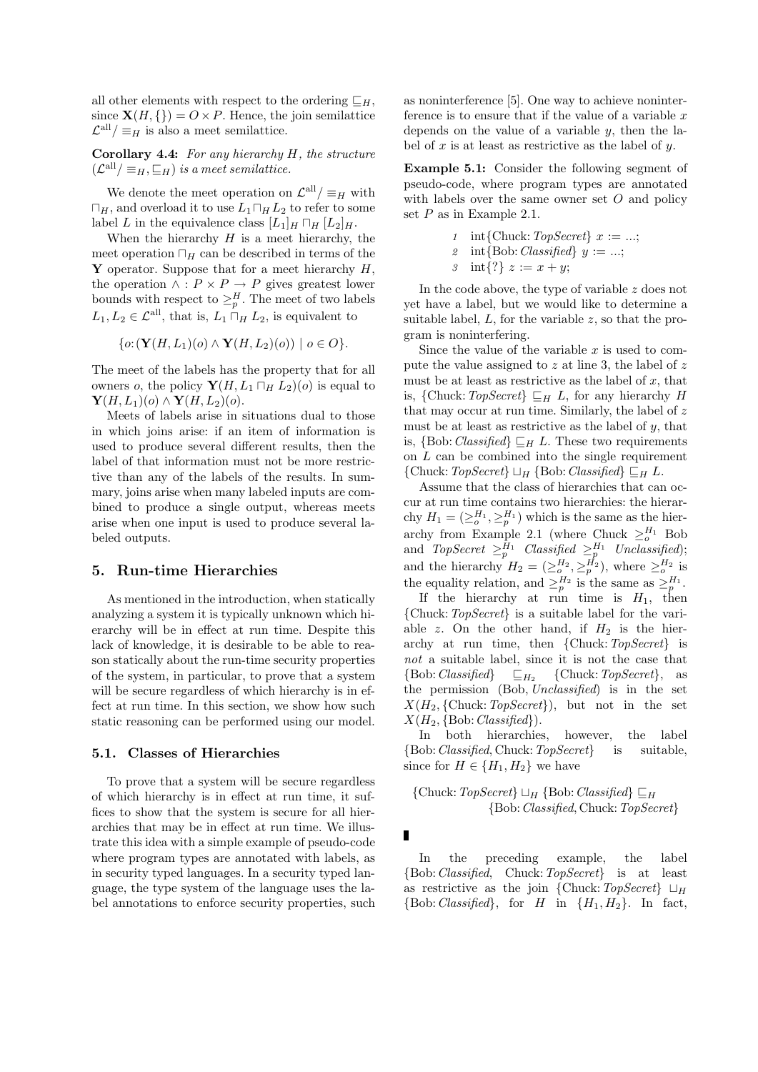all other elements with respect to the ordering  $\Box_H$ , since  $\mathbf{X}(H, \{\}) = O \times P$ . Hence, the join semilattice  $\mathcal{L}^{\text{all}}/\equiv_H$  is also a meet semilattice.

Corollary 4.4: For any hierarchy  $H$ , the structure  $(\mathcal{L}^{\text{all}}/\equiv_H,\sqsubseteq_H)$  is a meet semilattice.

We denote the meet operation on  $\mathcal{L}^{\text{all}}/\equiv_H$  with  $\Box_H$ , and overload it to use  $L_1 \Box_H L_2$  to refer to some label L in the equivalence class  $[L_1]_H \sqcap H [L_2]_H$ .

When the hierarchy  $H$  is a meet hierarchy, the meet operation  $\Box_H$  can be described in terms of the **Y** operator. Suppose that for a meet hierarchy  $H$ , the operation  $\wedge$  :  $P \times P \rightarrow P$  gives greatest lower bounds with respect to  $\geq_p^H$ . The meet of two labels  $L_1, L_2 \in \mathcal{L}^{\text{all}}$ , that is,  $L_1 \cap_H L_2$ , is equivalent to

$$
\{o: (\mathbf{Y}(H, L_1)(o) \wedge \mathbf{Y}(H, L_2)(o)) \mid o \in O\}.
$$

The meet of the labels has the property that for all owners o, the policy  $\mathbf{Y}(H, L_1 \sqcap_H L_2)(o)$  is equal to  $\mathbf{Y}(H, L_1)(o) \wedge \mathbf{Y}(H, L_2)(o).$ 

Meets of labels arise in situations dual to those in which joins arise: if an item of information is used to produce several different results, then the label of that information must not be more restrictive than any of the labels of the results. In summary, joins arise when many labeled inputs are combined to produce a single output, whereas meets arise when one input is used to produce several labeled outputs.

# 5. Run-time Hierarchies

As mentioned in the introduction, when statically analyzing a system it is typically unknown which hierarchy will be in effect at run time. Despite this lack of knowledge, it is desirable to be able to reason statically about the run-time security properties of the system, in particular, to prove that a system will be secure regardless of which hierarchy is in effect at run time. In this section, we show how such static reasoning can be performed using our model.

#### 5.1. Classes of Hierarchies

To prove that a system will be secure regardless of which hierarchy is in effect at run time, it suffices to show that the system is secure for all hierarchies that may be in effect at run time. We illustrate this idea with a simple example of pseudo-code where program types are annotated with labels, as in security typed languages. In a security typed language, the type system of the language uses the label annotations to enforce security properties, such as noninterference [5]. One way to achieve noninterference is to ensure that if the value of a variable  $x$ depends on the value of a variable  $y$ , then the label of  $x$  is at least as restrictive as the label of  $y$ .

Example 5.1: Consider the following segment of pseudo-code, where program types are annotated with labels over the same owner set  $O$  and policy set  $P$  as in Example 2.1.

1 int{Chuck: TopSecret} 
$$
x := ...;
$$
  
2 int{Bob: Classified}  $y := ...;$ 

3 int{?} 
$$
z := x + y
$$
;

In the code above, the type of variable z does not yet have a label, but we would like to determine a suitable label,  $L$ , for the variable  $z$ , so that the program is noninterfering.

Since the value of the variable  $x$  is used to compute the value assigned to  $z$  at line 3, the label of  $z$ must be at least as restrictive as the label of  $x$ , that is, {Chuck:  $TopSecret$ }  $\sqsubseteq_H L$ , for any hierarchy H that may occur at run time. Similarly, the label of  $z$ must be at least as restrictive as the label of  $y$ , that is,  $\{Bob: Classified\} \sqsubseteq_H L$ . These two requirements on  $L$  can be combined into the single requirement {Chuck:  $TopSecret$ }  $\sqcup_H$  {Bob: Classified}  $\sqsubseteq_H L$ .

Assume that the class of hierarchies that can occur at run time contains two hierarchies: the hierarchy  $H_1 = (\geq_o^{H_1}, \geq_p^{H_1})$  which is the same as the hierarchy from Example 2.1 (where Chuck  $\geq_o^{H_1}$  Bob and  $\mathit{TopSecret}\ \geq^{\mathit{H_1}}_{p}\ \mathit{Classified}\ \geq^{\mathit{H_1}}_{p}\ \mathit{Unclassified}$ ); and the hierarchy  $H_2 = (\geq_o^{H_2}, \geq_p^{H_2})$ , where  $\geq_o^{H_2}$  is the equality relation, and  $\geq_p^{H_2}$  is the same as  $\geq_p^{H_1}$ .

If the hierarchy at run time is  $H_1$ , then {Chuck:TopSecret} is a suitable label for the variable z. On the other hand, if  $H_2$  is the hierarchy at run time, then  ${Chuck: TopSecret}$  is not a suitable label, since it is not the case that  ${Bob:Classified}$  $\sqsubseteq_{H_2}$  {Chuck: TopSecret}, as the permission (Bob, Unclassified) is in the set  $X(H_2, \{\text{Chuck}: \textit{TopSecret}\}),$  but not in the set  $X(H_2, \{Bob: Classified\}).$ 

In both hierarchies, however, the label {Bob:Classified, Chuck:TopSecret} is suitable, since for  $H \in \{H_1, H_2\}$  we have

# {Chuck:  $TopSecret$ }  $\sqcup_H$  {Bob: Classified}  $\sqsubset_H$ {Bob:Classified, Chuck:TopSecret}

In the preceding example, the label {Bob:Classified, Chuck:TopSecret} is at least as restrictive as the join {Chuck:  $TopSecret$ }  $\sqcup_H$  ${Bob:Classified}, for H in {H<sub>1</sub>, H<sub>2</sub>}. In fact,$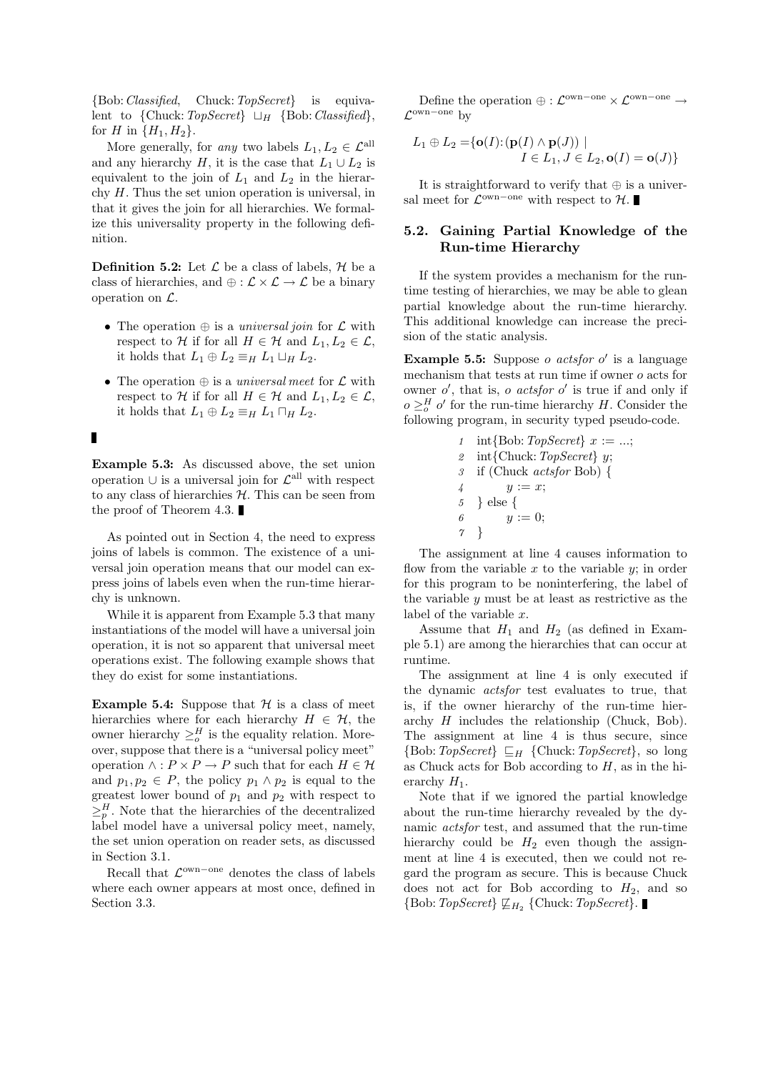{Bob:Classified, Chuck:TopSecret} is equivalent to  $\{Chuck: TopSecret\} \sqcup_H \{Bob: Classified\},\$ for *H* in  $\{H_1, H_2\}$ .

More generally, for any two labels  $L_1, L_2 \in \mathcal{L}^{\text{all}}$ and any hierarchy H, it is the case that  $L_1 \cup L_2$  is equivalent to the join of  $L_1$  and  $L_2$  in the hierarchy H. Thus the set union operation is universal, in that it gives the join for all hierarchies. We formalize this universality property in the following definition.

**Definition 5.2:** Let  $\mathcal{L}$  be a class of labels,  $\mathcal{H}$  be a class of hierarchies, and  $\oplus : \mathcal{L} \times \mathcal{L} \to \mathcal{L}$  be a binary operation on L.

- The operation  $\oplus$  is a *universal join* for  $\mathcal L$  with respect to H if for all  $H \in \mathcal{H}$  and  $L_1, L_2 \in \mathcal{L}$ , it holds that  $L_1 \oplus L_2 \equiv_H L_1 \sqcup_H L_2$ .
- The operation  $\oplus$  is a *universal meet* for  $\mathcal L$  with respect to H if for all  $H \in \mathcal{H}$  and  $L_1, L_2 \in \mathcal{L}$ , it holds that  $L_1 \oplus L_2 \equiv_H L_1 \sqcap_H L_2$ .

 $\blacksquare$ 

Example 5.3: As discussed above, the set union operation  $\cup$  is a universal join for  $\mathcal{L}^{\text{all}}$  with respect to any class of hierarchies  $H$ . This can be seen from the proof of Theorem 4.3.

As pointed out in Section 4, the need to express joins of labels is common. The existence of a universal join operation means that our model can express joins of labels even when the run-time hierarchy is unknown.

While it is apparent from Example 5.3 that many instantiations of the model will have a universal join operation, it is not so apparent that universal meet operations exist. The following example shows that they do exist for some instantiations.

**Example 5.4:** Suppose that  $H$  is a class of meet hierarchies where for each hierarchy  $H \in \mathcal{H}$ , the owner hierarchy  $\geq_o^H$  is the equality relation. Moreover, suppose that there is a "universal policy meet" operation  $\wedge$  :  $P \times P \to P$  such that for each  $H \in \mathcal{H}$ and  $p_1, p_2 \in P$ , the policy  $p_1 \wedge p_2$  is equal to the greatest lower bound of  $p_1$  and  $p_2$  with respect to  $\geq_p^H$ . Note that the hierarchies of the decentralized label model have a universal policy meet, namely, the set union operation on reader sets, as discussed in Section 3.1.

Recall that  $\mathcal{L}^{\text{own-one}}$  denotes the class of labels where each owner appears at most once, defined in Section 3.3.

Define the operation  $\oplus : \mathcal{L}^{\text{own-one}} \times \mathcal{L}^{\text{own-one}} \rightarrow$  $\mathcal{L}^{\text{own-one}}$  by

$$
L_1 \oplus L_2 = \{ \mathbf{o}(I) : (\mathbf{p}(I) \wedge \mathbf{p}(J)) \mid
$$
  

$$
I \in L_1, J \in L_2, \mathbf{o}(I) = \mathbf{o}(J) \}
$$

It is straightforward to verify that  $\oplus$  is a universal meet for  $\mathcal{L}^{\text{own-one}}$  with respect to  $\mathcal{H}$ .

# 5.2. Gaining Partial Knowledge of the Run-time Hierarchy

If the system provides a mechanism for the runtime testing of hierarchies, we may be able to glean partial knowledge about the run-time hierarchy. This additional knowledge can increase the precision of the static analysis.

**Example 5.5:** Suppose  $o$  actsfor  $o'$  is a language mechanism that tests at run time if owner o acts for owner  $o'$ , that is, o actsfor  $o'$  is true if and only if  $o \geq_o^H o'$  for the run-time hierarchy H. Consider the following program, in security typed pseudo-code.

$$
1 \quad int{Bob: TopSecret} \quad x := \dots;
$$
\n
$$
2 \quad int{Church: TopSecret} \quad y;
$$
\n
$$
3 \quad if (Chuck \; actsfor Bob) \quad \{4 \quad y := x;
$$
\n
$$
5 \quad \} else \quad \{
$$
\n
$$
6 \quad y := 0;
$$
\n
$$
7 \quad \}
$$

The assignment at line 4 causes information to flow from the variable x to the variable  $y$ ; in order for this program to be noninterfering, the label of the variable  $y$  must be at least as restrictive as the label of the variable x.

Assume that  $H_1$  and  $H_2$  (as defined in Example 5.1) are among the hierarchies that can occur at runtime.

The assignment at line 4 is only executed if the dynamic actsfor test evaluates to true, that is, if the owner hierarchy of the run-time hierarchy H includes the relationship (Chuck, Bob). The assignment at line 4 is thus secure, since  $\{Bob:TopSecret\} \subseteq_H \{Chuck:TopSecret\}$ , so long as Chuck acts for Bob according to  $H$ , as in the hierarchy  $H_1$ .

Note that if we ignored the partial knowledge about the run-time hierarchy revealed by the dynamic actsfor test, and assumed that the run-time hierarchy could be  $H_2$  even though the assignment at line 4 is executed, then we could not regard the program as secure. This is because Chuck does not act for Bob according to  $H_2$ , and so {Bob: TopSecret}  $\mathcal{L}_{H_2}$  {Chuck: TopSecret}.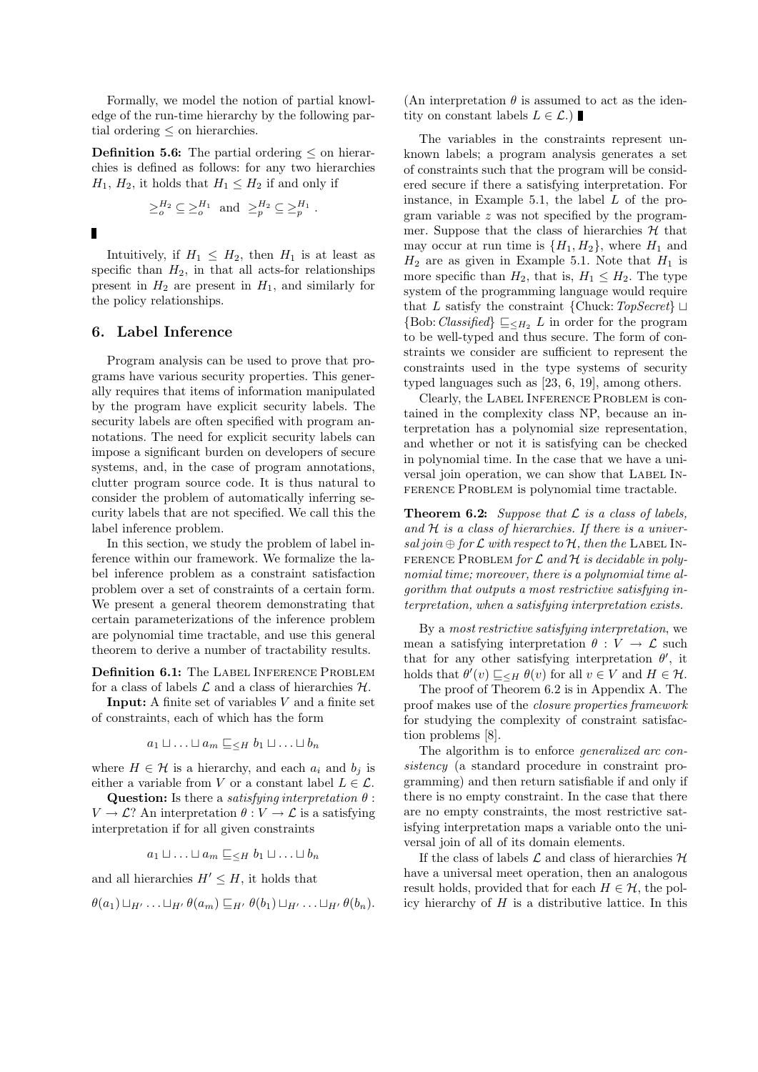Formally, we model the notion of partial knowledge of the run-time hierarchy by the following partial ordering  $\leq$  on hierarchies.

**Definition 5.6:** The partial ordering  $\leq$  on hierarchies is defined as follows: for any two hierarchies  $H_1, H_2$ , it holds that  $H_1 \leq H_2$  if and only if

$$
\geq_o^{H_2} \subseteq \geq_o^{H_1} \text{ and } \geq_p^{H_2} \subseteq \geq_p^{H_1}.
$$

П

Intuitively, if  $H_1 \n\t\le H_2$ , then  $H_1$  is at least as specific than  $H_2$ , in that all acts-for relationships present in  $H_2$  are present in  $H_1$ , and similarly for the policy relationships.

# 6. Label Inference

Program analysis can be used to prove that programs have various security properties. This generally requires that items of information manipulated by the program have explicit security labels. The security labels are often specified with program annotations. The need for explicit security labels can impose a significant burden on developers of secure systems, and, in the case of program annotations, clutter program source code. It is thus natural to consider the problem of automatically inferring security labels that are not specified. We call this the label inference problem.

In this section, we study the problem of label inference within our framework. We formalize the label inference problem as a constraint satisfaction problem over a set of constraints of a certain form. We present a general theorem demonstrating that certain parameterizations of the inference problem are polynomial time tractable, and use this general theorem to derive a number of tractability results.

Definition 6.1: The LABEL INFERENCE PROBLEM for a class of labels  $\mathcal L$  and a class of hierarchies  $\mathcal H$ .

**Input:** A finite set of variables  $V$  and a finite set of constraints, each of which has the form

$$
a_1 \sqcup \ldots \sqcup a_m \sqsubseteq_{\leq H} b_1 \sqcup \ldots \sqcup b_n
$$

where  $H \in \mathcal{H}$  is a hierarchy, and each  $a_i$  and  $b_j$  is either a variable from V or a constant label  $L \in \mathcal{L}$ .

**Question:** Is there a *satisfying interpretation*  $\theta$ :  $V \to \mathcal{L}$ ? An interpretation  $\theta : V \to \mathcal{L}$  is a satisfying interpretation if for all given constraints

$$
a_1 \sqcup \ldots \sqcup a_m \sqsubseteq_{\leq H} b_1 \sqcup \ldots \sqcup b_n
$$

and all hierarchies  $H' \leq H$ , it holds that

$$
\theta(a_1) \sqcup_{H'} \ldots \sqcup_{H'} \theta(a_m) \sqsubseteq_{H'} \theta(b_1) \sqcup_{H'} \ldots \sqcup_{H'} \theta(b_n).
$$

(An interpretation  $\theta$  is assumed to act as the identity on constant labels  $L \in \mathcal{L}$ .)

The variables in the constraints represent unknown labels; a program analysis generates a set of constraints such that the program will be considered secure if there a satisfying interpretation. For instance, in Example 5.1, the label  $L$  of the program variable z was not specified by the programmer. Suppose that the class of hierarchies  $H$  that may occur at run time is  $\{H_1, H_2\}$ , where  $H_1$  and  $H_2$  are as given in Example 5.1. Note that  $H_1$  is more specific than  $H_2$ , that is,  $H_1 \leq H_2$ . The type system of the programming language would require that L satisfy the constraint {Chuck:  $TopSecret$ }  $\sqcup$ {Bob: Classified}  $\sqsubseteq_{\leq H_2} L$  in order for the program to be well-typed and thus secure. The form of constraints we consider are sufficient to represent the constraints used in the type systems of security typed languages such as [23, 6, 19], among others.

Clearly, the Label Inference Problem is contained in the complexity class NP, because an interpretation has a polynomial size representation, and whether or not it is satisfying can be checked in polynomial time. In the case that we have a universal join operation, we can show that LABEL IN-FERENCE PROBLEM is polynomial time tractable.

**Theorem 6.2:** Suppose that  $\mathcal L$  is a class of labels, and  $H$  is a class of hierarchies. If there is a universal join  $\oplus$  for  $\mathcal L$  with respect to  $\mathcal H$ , then the LABEL IN-FERENCE PROBLEM for  $\mathcal L$  and  $\mathcal H$  is decidable in polynomial time; moreover, there is a polynomial time algorithm that outputs a most restrictive satisfying interpretation, when a satisfying interpretation exists.

By a most restrictive satisfying interpretation, we mean a satisfying interpretation  $\theta : V \to \mathcal{L}$  such that for any other satisfying interpretation  $\theta'$ , it holds that  $\theta'(v) \sqsubseteq_{\leq H} \theta(v)$  for all  $v \in V$  and  $H \in \mathcal{H}$ .

The proof of Theorem 6.2 is in Appendix A. The proof makes use of the closure properties framework for studying the complexity of constraint satisfaction problems [8].

The algorithm is to enforce *generalized arc* consistency (a standard procedure in constraint programming) and then return satisfiable if and only if there is no empty constraint. In the case that there are no empty constraints, the most restrictive satisfying interpretation maps a variable onto the universal join of all of its domain elements.

If the class of labels  $\mathcal L$  and class of hierarchies  $\mathcal H$ have a universal meet operation, then an analogous result holds, provided that for each  $H \in \mathcal{H}$ , the policy hierarchy of  $H$  is a distributive lattice. In this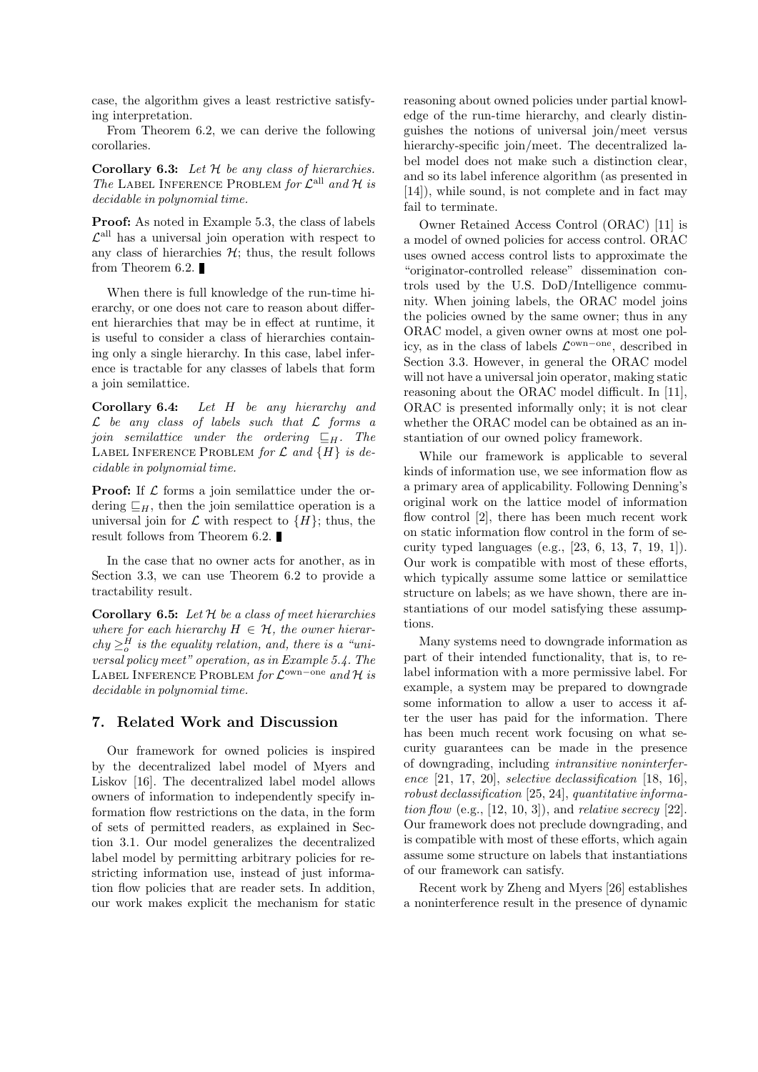case, the algorithm gives a least restrictive satisfying interpretation.

From Theorem 6.2, we can derive the following corollaries.

Corollary 6.3: Let  $H$  be any class of hierarchies. The LABEL INFERENCE PROBLEM for  $\mathcal{L}^{\text{all}}$  and  $\mathcal{H}$  is decidable in polynomial time.

Proof: As noted in Example 5.3, the class of labels  $\mathcal{L}^{\text{all}}$  has a universal join operation with respect to any class of hierarchies  $H$ ; thus, the result follows from Theorem 6.2.

When there is full knowledge of the run-time hierarchy, or one does not care to reason about different hierarchies that may be in effect at runtime, it is useful to consider a class of hierarchies containing only a single hierarchy. In this case, label inference is tractable for any classes of labels that form a join semilattice.

Corollary 6.4: Let H be any hierarchy and  $\mathcal L$  be any class of labels such that  $\mathcal L$  forms a join semilattice under the ordering  $\sqsubseteq_H$ . The LABEL INFERENCE PROBLEM for  $\mathcal L$  and  $\{H\}$  is decidable in polynomial time.

**Proof:** If  $\mathcal L$  forms a join semilattice under the ordering  $\Box_H$ , then the join semilattice operation is a universal join for  $\mathcal L$  with respect to  $\{H\}$ ; thus, the result follows from Theorem 6.2.

In the case that no owner acts for another, as in Section 3.3, we can use Theorem 6.2 to provide a tractability result.

Corollary 6.5: Let  $H$  be a class of meet hierarchies where for each hierarchy  $H \in \mathcal{H}$ , the owner hierar $chy \geq_o^H$  is the equality relation, and, there is a "universal policy meet" operation, as in Example 5.4. The LABEL INFERENCE PROBLEM  $for \mathcal{L}^{\text{own-one}}$  and  $\mathcal{H}$  is decidable in polynomial time.

# 7. Related Work and Discussion

Our framework for owned policies is inspired by the decentralized label model of Myers and Liskov [16]. The decentralized label model allows owners of information to independently specify information flow restrictions on the data, in the form of sets of permitted readers, as explained in Section 3.1. Our model generalizes the decentralized label model by permitting arbitrary policies for restricting information use, instead of just information flow policies that are reader sets. In addition, our work makes explicit the mechanism for static reasoning about owned policies under partial knowledge of the run-time hierarchy, and clearly distinguishes the notions of universal join/meet versus hierarchy-specific join/meet. The decentralized label model does not make such a distinction clear, and so its label inference algorithm (as presented in [14]), while sound, is not complete and in fact may fail to terminate.

Owner Retained Access Control (ORAC) [11] is a model of owned policies for access control. ORAC uses owned access control lists to approximate the "originator-controlled release" dissemination controls used by the U.S. DoD/Intelligence community. When joining labels, the ORAC model joins the policies owned by the same owner; thus in any ORAC model, a given owner owns at most one policy, as in the class of labels  $\mathcal{L}^{\text{own-one}}$ , described in Section 3.3. However, in general the ORAC model will not have a universal join operator, making static reasoning about the ORAC model difficult. In [11], ORAC is presented informally only; it is not clear whether the ORAC model can be obtained as an instantiation of our owned policy framework.

While our framework is applicable to several kinds of information use, we see information flow as a primary area of applicability. Following Denning's original work on the lattice model of information flow control [2], there has been much recent work on static information flow control in the form of security typed languages (e.g., [23, 6, 13, 7, 19, 1]). Our work is compatible with most of these efforts, which typically assume some lattice or semilattice structure on labels; as we have shown, there are instantiations of our model satisfying these assumptions.

Many systems need to downgrade information as part of their intended functionality, that is, to relabel information with a more permissive label. For example, a system may be prepared to downgrade some information to allow a user to access it after the user has paid for the information. There has been much recent work focusing on what security guarantees can be made in the presence of downgrading, including intransitive noninterference [21, 17, 20], selective declassification [18, 16], robust declassification [25, 24], quantitative information flow (e.g.,  $[12, 10, 3]$ ), and relative secrecy  $[22]$ . Our framework does not preclude downgrading, and is compatible with most of these efforts, which again assume some structure on labels that instantiations of our framework can satisfy.

Recent work by Zheng and Myers [26] establishes a noninterference result in the presence of dynamic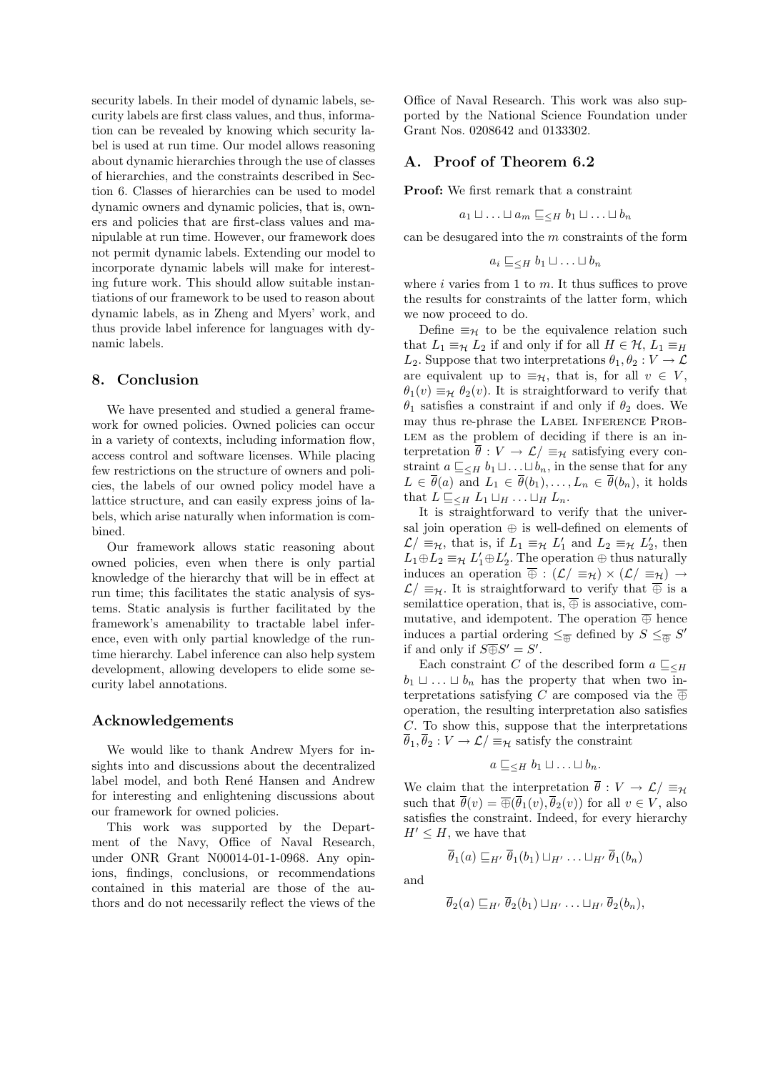security labels. In their model of dynamic labels, security labels are first class values, and thus, information can be revealed by knowing which security label is used at run time. Our model allows reasoning about dynamic hierarchies through the use of classes of hierarchies, and the constraints described in Section 6. Classes of hierarchies can be used to model dynamic owners and dynamic policies, that is, owners and policies that are first-class values and manipulable at run time. However, our framework does not permit dynamic labels. Extending our model to incorporate dynamic labels will make for interesting future work. This should allow suitable instantiations of our framework to be used to reason about dynamic labels, as in Zheng and Myers' work, and thus provide label inference for languages with dynamic labels.

# 8. Conclusion

We have presented and studied a general framework for owned policies. Owned policies can occur in a variety of contexts, including information flow, access control and software licenses. While placing few restrictions on the structure of owners and policies, the labels of our owned policy model have a lattice structure, and can easily express joins of labels, which arise naturally when information is combined.

Our framework allows static reasoning about owned policies, even when there is only partial knowledge of the hierarchy that will be in effect at run time; this facilitates the static analysis of systems. Static analysis is further facilitated by the framework's amenability to tractable label inference, even with only partial knowledge of the runtime hierarchy. Label inference can also help system development, allowing developers to elide some security label annotations.

# Acknowledgements

We would like to thank Andrew Myers for insights into and discussions about the decentralized label model, and both René Hansen and Andrew for interesting and enlightening discussions about our framework for owned policies.

This work was supported by the Department of the Navy, Office of Naval Research, under ONR Grant N00014-01-1-0968. Any opinions, findings, conclusions, or recommendations contained in this material are those of the authors and do not necessarily reflect the views of the Office of Naval Research. This work was also supported by the National Science Foundation under Grant Nos. 0208642 and 0133302.

# A. Proof of Theorem 6.2

Proof: We first remark that a constraint

$$
a_1 \sqcup \ldots \sqcup a_m \sqsubseteq_{\leq H} b_1 \sqcup \ldots \sqcup b_n
$$

can be desugared into the  $m$  constraints of the form

$$
a_i \sqsubseteq_{\leq H} b_1 \sqcup \ldots \sqcup b_n
$$

where  $i$  varies from 1 to  $m$ . It thus suffices to prove the results for constraints of the latter form, which we now proceed to do.

Define  $\equiv_{\mathcal{H}}$  to be the equivalence relation such that  $L_1 \equiv_H L_2$  if and only if for all  $H \in \mathcal{H}$ ,  $L_1 \equiv_H$  $L_2$ . Suppose that two interpretations  $\theta_1, \theta_2 : V \to \mathcal{L}$ are equivalent up to  $\equiv_{\mathcal{H}}$ , that is, for all  $v \in V$ ,  $\theta_1(v) \equiv_H \theta_2(v)$ . It is straightforward to verify that  $\theta_1$  satisfies a constraint if and only if  $\theta_2$  does. We may thus re-phrase the LABEL INFERENCE PROB-LEM as the problem of deciding if there is an interpretation  $\overline{\theta}: V \to \mathcal{L}/\equiv_{\mathcal{H}}$  satisfying every constraint  $a \sqsubset_{\leq H} b_1 \sqcup \ldots \sqcup b_n$ , in the sense that for any  $L \in \overline{\theta}(a)$  and  $L_1 \in \overline{\theta}(b_1), \ldots, L_n \in \overline{\theta}(b_n)$ , it holds that  $L \sqsubseteq_{\leq H} L_1 \sqcup_H \ldots \sqcup_H L_n$ .

It is straightforward to verify that the universal join operation ⊕ is well-defined on elements of  $\mathcal{L}/\equiv_{\mathcal{H}}$ , that is, if  $L_1 \equiv_{\mathcal{H}} L'_1$  and  $L_2 \equiv_{\mathcal{H}} L'_2$ , then  $L_1 \oplus L_2 \equiv_{\mathcal{H}} L'_1 \oplus L'_2$ . The operation  $\oplus$  thus naturally induces an operation  $\overline{\oplus}: (\mathcal{L}/\equiv_{\mathcal{H}}) \times (\mathcal{L}/\equiv_{\mathcal{H}}) \rightarrow$  $\mathcal{L}/\equiv_{\mathcal{H}}$ . It is straightforward to verify that  $\overline{\oplus}$  is a semilattice operation, that is,  $\overline{\oplus}$  is associative, commutative, and idempotent. The operation  $\overline{\oplus}$  hence induces a partial ordering  $\leq_{\overline{\oplus}}$  defined by  $S \leq_{\overline{\oplus}} S'$ if and only if  $S\overline{\oplus}S'=S'$ .

Each constraint C of the described form  $a \sqsubseteq_{\leq H}$  $b_1 \sqcup \ldots \sqcup b_n$  has the property that when two interpretations satisfying C are composed via the  $\overline{\oplus}$ operation, the resulting interpretation also satisfies C. To show this, suppose that the interpretations  $\overline{\theta}_1, \overline{\theta}_2 : V \to \mathcal{L} \neq \mathbb{R}$  satisfy the constraint

$$
a \sqsubseteq_{\leq H} b_1 \sqcup \ldots \sqcup b_n.
$$

We claim that the interpretation  $\overline{\theta}: V \to \mathcal{L}/\equiv_H$ such that  $\overline{\theta}(v) = \overline{\oplus}(\overline{\theta}_1(v), \overline{\theta}_2(v))$  for all  $v \in V$ , also satisfies the constraint. Indeed, for every hierarchy  $H' \leq H$ , we have that

$$
\theta_1(a) \sqsubseteq_{H'} \theta_1(b_1) \sqcup_{H'} \ldots \sqcup_{H'} \theta_1(b_n)
$$

and

$$
\overline{\theta}_2(a) \sqsubseteq_{H'} \overline{\theta}_2(b_1) \sqcup_{H'} \ldots \sqcup_{H'} \overline{\theta}_2(b_n),
$$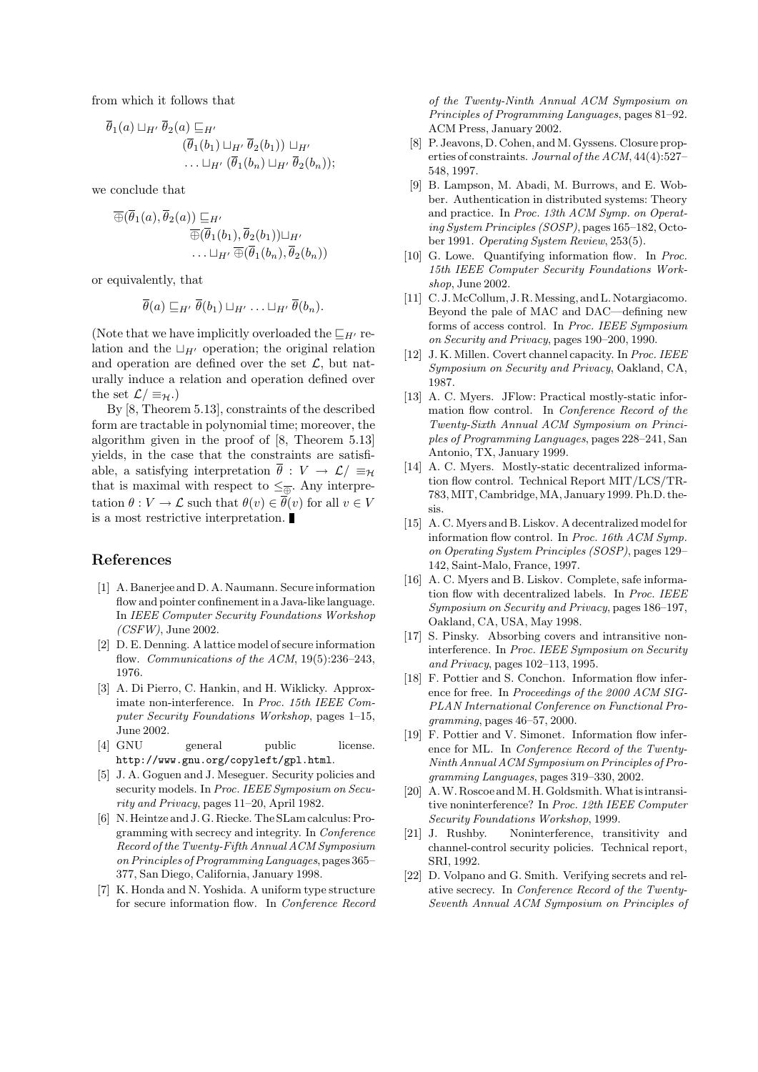from which it follows that

$$
\overline{\theta}_1(a) \sqcup_{H'} \overline{\theta}_2(a) \sqsubseteq_{H'} \n(\overline{\theta}_1(b_1) \sqcup_{H'} \overline{\theta}_2(b_1)) \sqcup_{H'} \n\ldots \sqcup_{H'} (\overline{\theta}_1(b_n) \sqcup_{H'} \overline{\theta}_2(b_n));
$$

we conclude that

$$
\overline{\oplus}(\overline{\theta}_1(a), \overline{\theta}_2(a)) \sqsubseteq_{H'} \overline{\oplus}(\overline{\theta}_1(b_1), \overline{\theta}_2(b_1)) \sqcup_{H'} \dots \sqcup_{H'} \overline{\oplus}(\overline{\theta}_1(b_n), \overline{\theta}_2(b_n))
$$

or equivalently, that

$$
\overline{\theta}(a) \sqsubseteq_{H'} \overline{\theta}(b_1) \sqcup_{H'} \ldots \sqcup_{H'} \overline{\theta}(b_n).
$$

(Note that we have implicitly overloaded the  $\sqsubseteq_{H'}$  relation and the  $\Box_{H}$  operation; the original relation and operation are defined over the set  $\mathcal{L}$ , but naturally induce a relation and operation defined over the set  $\mathcal{L}/\equiv_{\mathcal{H}}$ .)

By [8, Theorem 5.13], constraints of the described form are tractable in polynomial time; moreover, the algorithm given in the proof of [8, Theorem 5.13] yields, in the case that the constraints are satisfiable, a satisfying interpretation  $\overline{\theta}: V \to \mathcal{L}/\equiv_H$ that is maximal with respect to  $\leq_{\overline{\oplus}}$ . Any interpretation  $\theta: V \to \mathcal{L}$  such that  $\theta(v) \in \overline{\theta}(v)$  for all  $v \in V$ is a most restrictive interpretation.

## References

- [1] A. Banerjee and D. A. Naumann. Secure information flow and pointer confinement in a Java-like language. In IEEE Computer Security Foundations Workshop  $(CSFW)$ , June 2002.
- [2] D. E. Denning. A lattice model of secure information flow. Communications of the ACM, 19(5):236-243, 1976.
- [3] A. Di Pierro, C. Hankin, and H. Wiklicky. Approximate non-interference. In Proc. 15th IEEE Computer Security Foundations Workshop, pages 1–15, June 2002.
- [4] GNU general public license. http://www.gnu.org/copyleft/gpl.html.
- [5] J. A. Goguen and J. Meseguer. Security policies and security models. In Proc. IEEE Symposium on Security and Privacy, pages 11–20, April 1982.
- [6] N. Heintze and J. G. Riecke. The SLam calculus: Programming with secrecy and integrity. In Conference Record of the Twenty-Fifth Annual ACM Symposium on Principles of Programming Languages, pages 365– 377, San Diego, California, January 1998.
- [7] K. Honda and N. Yoshida. A uniform type structure for secure information flow. In Conference Record

of the Twenty-Ninth Annual ACM Symposium on Principles of Programming Languages, pages 81–92. ACM Press, January 2002.

- [8] P. Jeavons, D. Cohen, and M. Gyssens. Closure properties of constraints. Journal of the ACM, 44(4):527– 548, 1997.
- [9] B. Lampson, M. Abadi, M. Burrows, and E. Wobber. Authentication in distributed systems: Theory and practice. In Proc. 13th ACM Symp. on Operating System Principles (SOSP), pages 165–182, October 1991. Operating System Review, 253(5).
- [10] G. Lowe. Quantifying information flow. In Proc. 15th IEEE Computer Security Foundations Workshop, June 2002.
- [11] C.J. McCollum, J.R. Messing, and L. Notargiacomo. Beyond the pale of MAC and DAC—defining new forms of access control. In Proc. IEEE Symposium on Security and Privacy, pages 190–200, 1990.
- [12] J. K. Millen. Covert channel capacity. In Proc. IEEE Symposium on Security and Privacy, Oakland, CA, 1987.
- [13] A. C. Myers. JFlow: Practical mostly-static information flow control. In Conference Record of the Twenty-Sixth Annual ACM Symposium on Principles of Programming Languages, pages 228–241, San Antonio, TX, January 1999.
- [14] A. C. Myers. Mostly-static decentralized information flow control. Technical Report MIT/LCS/TR-783,MIT, Cambridge,MA, January 1999. Ph.D. thesis.
- [15] A. C. Myers and B. Liskov. A decentralized model for information flow control. In Proc. 16th ACM Symp. on Operating System Principles (SOSP), pages 129– 142, Saint-Malo, France, 1997.
- [16] A. C. Myers and B. Liskov. Complete, safe information flow with decentralized labels. In Proc. IEEE Symposium on Security and Privacy, pages 186–197, Oakland, CA, USA, May 1998.
- [17] S. Pinsky. Absorbing covers and intransitive noninterference. In Proc. IEEE Symposium on Security and Privacy, pages 102–113, 1995.
- [18] F. Pottier and S. Conchon. Information flow inference for free. In Proceedings of the 2000 ACM SIG-PLAN International Conference on Functional Programming, pages 46–57, 2000.
- [19] F. Pottier and V. Simonet. Information flow inference for ML. In Conference Record of the Twenty-Ninth Annual ACM Symposium on Principles of Programming Languages, pages 319–330, 2002.
- [20] A.W. Roscoe and M.H. Goldsmith. What is intransitive noninterference? In Proc. 12th IEEE Computer Security Foundations Workshop, 1999.
- [21] J. Rushby. Noninterference, transitivity and channel-control security policies. Technical report, SRI, 1992.
- [22] D. Volpano and G. Smith. Verifying secrets and relative secrecy. In Conference Record of the Twenty-Seventh Annual ACM Symposium on Principles of